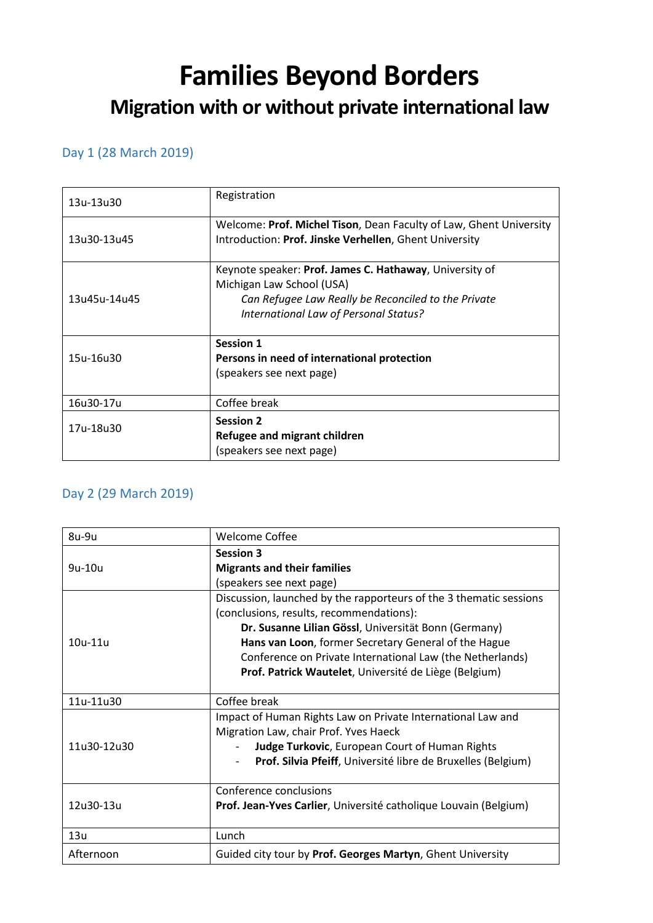# **Families Beyond Borders Migration with or without private international law**

## Day 1 (28 March 2019)

| 13u-13u30    | Registration                                                                                                                                                                         |
|--------------|--------------------------------------------------------------------------------------------------------------------------------------------------------------------------------------|
| 13u30-13u45  | Welcome: Prof. Michel Tison, Dean Faculty of Law, Ghent University<br>Introduction: Prof. Jinske Verhellen, Ghent University                                                         |
| 13u45u-14u45 | Keynote speaker: Prof. James C. Hathaway, University of<br>Michigan Law School (USA)<br>Can Refugee Law Really be Reconciled to the Private<br>International Law of Personal Status? |
| 15u-16u30    | <b>Session 1</b><br>Persons in need of international protection<br>(speakers see next page)                                                                                          |
| 16u30-17u    | Coffee break                                                                                                                                                                         |
| 17u-18u30    | <b>Session 2</b><br>Refugee and migrant children<br>(speakers see next page)                                                                                                         |

### Day 2 (29 March 2019)

| 8u-9u       | Welcome Coffee                                                     |
|-------------|--------------------------------------------------------------------|
|             | <b>Session 3</b>                                                   |
| 9u-10u      | <b>Migrants and their families</b>                                 |
|             | (speakers see next page)                                           |
|             | Discussion, launched by the rapporteurs of the 3 thematic sessions |
|             | (conclusions, results, recommendations):                           |
|             | Dr. Susanne Lilian Gössl, Universität Bonn (Germany)               |
| 10u-11u     | Hans van Loon, former Secretary General of the Hague               |
|             | Conference on Private International Law (the Netherlands)          |
|             | Prof. Patrick Wautelet, Université de Liège (Belgium)              |
|             |                                                                    |
|             |                                                                    |
| 11u-11u30   | Coffee break                                                       |
|             | Impact of Human Rights Law on Private International Law and        |
|             | Migration Law, chair Prof. Yves Haeck                              |
| 11u30-12u30 | Judge Turkovic, European Court of Human Rights                     |
|             | Prof. Silvia Pfeiff, Université libre de Bruxelles (Belgium)       |
|             |                                                                    |
|             | Conference conclusions                                             |
| 12u30-13u   | Prof. Jean-Yves Carlier, Université catholique Louvain (Belgium)   |
|             |                                                                    |
| 13u         | Lunch                                                              |